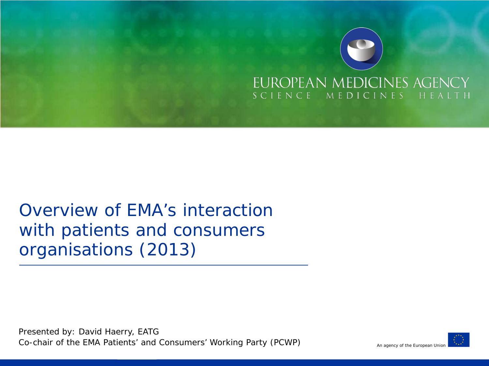

# Overview of EMA's interaction with patients and consumers organisations (2013)

Presented by: David Haerry, EATG Co-chair of the EMA Patients' and Consumers' Working Party (PCWP)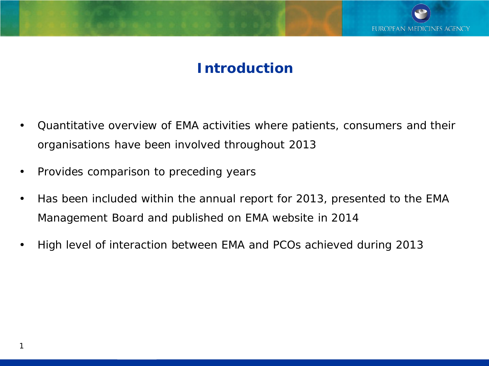

## **Introduction**

- Quantitative overview of EMA activities where patients, consumers and their organisations have been involved throughout 2013
- Provides comparison to preceding years
- Has been included within the annual report for 2013, presented to the EMA Management Board and published on EMA website in 2014
- High level of interaction between EMA and PCOs achieved during 2013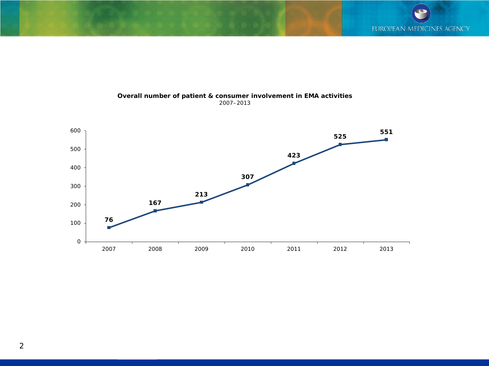

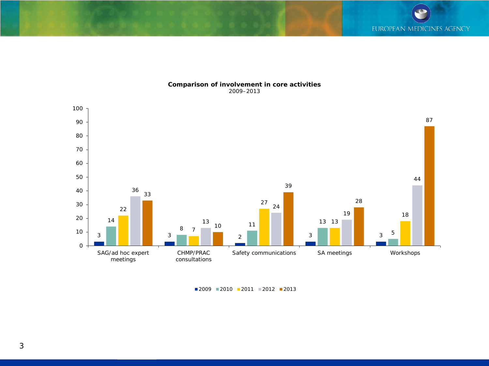

#### **Comparison of involvement in core activities** 2009–2013

■2009 ■2010 ■2011 ■2012 ■2013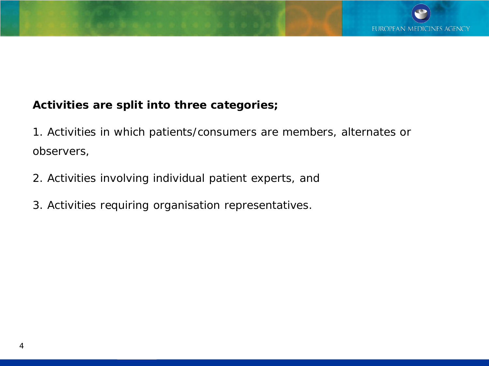## **Activities are split into three categories;**

1. Activities in which patients/consumers are members, alternates or observers,

- 2. Activities involving individual patient experts, and
- 3. Activities requiring organisation representatives.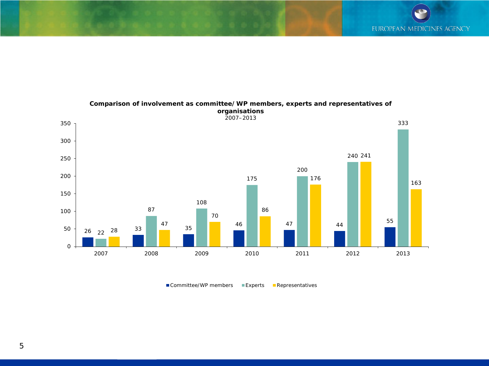

**Comparison of involvement as committee/WP members, experts and representatives of** 

■ Committee/WP members ■ Experts ■ Representatives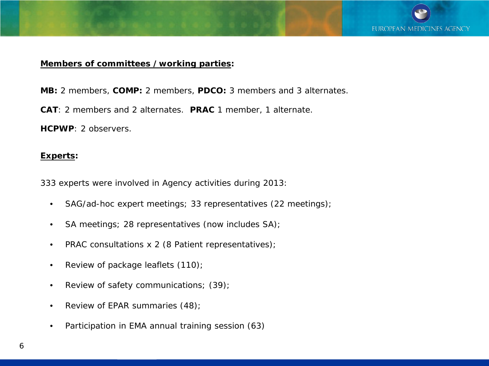

### **Members of committees /working parties:**

- **MB:** 2 members, **COMP:** 2 members, **PDCO:** 3 members and 3 alternates.
- **CAT**: 2 members and 2 alternates. **PRAC** 1 member, 1 alternate.

**HCPWP**: 2 observers.

#### **Experts:**

333 experts were involved in Agency activities during 2013:

- SAG/ad-hoc expert meetings; 33 representatives (22 meetings);
- SA meetings; 28 representatives (now includes SA);
- PRAC consultations x 2 (8 Patient representatives);
- Review of package leaflets (110);
- Review of safety communications; (39);
- Review of EPAR summaries (48);
- Participation in EMA annual training session (63)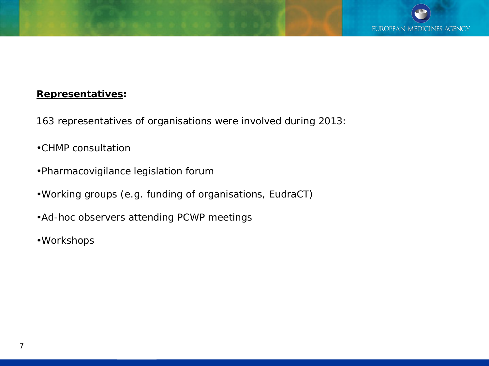### **Representatives:**

- 163 representatives of organisations were involved during 2013:
- •CHMP consultation
- •Pharmacovigilance legislation forum
- •Working groups (e.g. funding of organisations, EudraCT)
- •Ad-hoc observers attending PCWP meetings
- •Workshops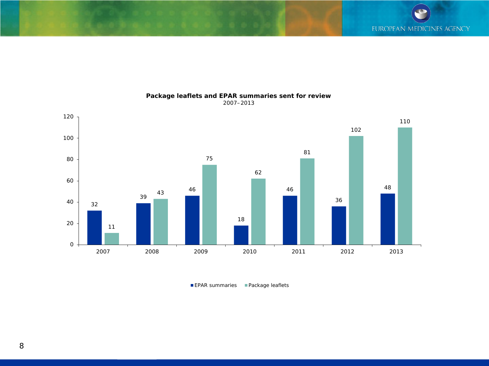

**Package leaflets and EPAR summaries sent for review**

2007–2013

EPAR summaries Package leaflets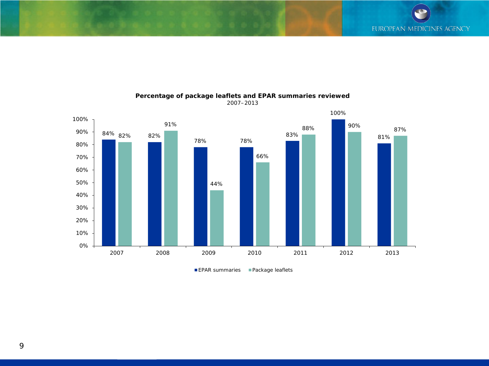

#### **Percentage of package leaflets and EPAR summaries reviewed** 2007–2013

9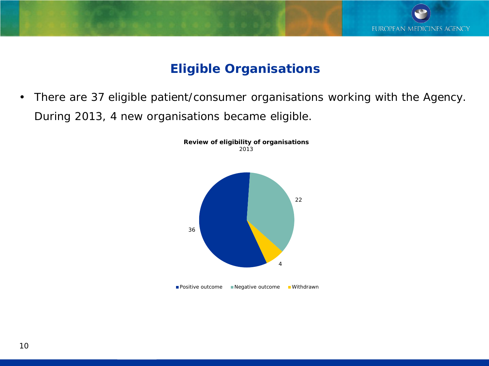

## **Eligible Organisations**

• There are 37 eligible patient/consumer organisations working with the Agency. During 2013, 4 new organisations became eligible.

> **Review of eligibility of organisations** 2013



**■Positive outcome ■Negative outcome ■Withdrawn**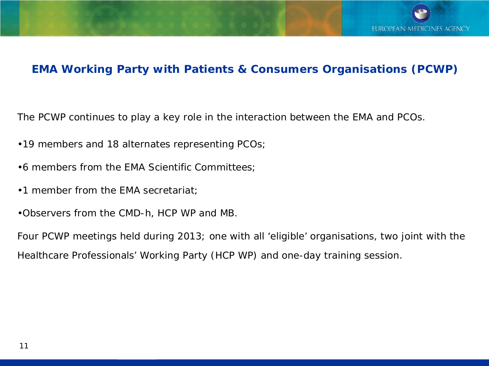

## **EMA Working Party with Patients & Consumers Organisations (PCWP)**

The PCWP continues to play a key role in the interaction between the EMA and PCOs.

- •19 members and 18 alternates representing PCOs;
- •6 members from the EMA Scientific Committees;
- •1 member from the EMA secretariat;
- •Observers from the CMD-h, HCP WP and MB.

Four PCWP meetings held during 2013; one with all 'eligible' organisations, two joint with the Healthcare Professionals' Working Party (HCP WP) and one-day training session.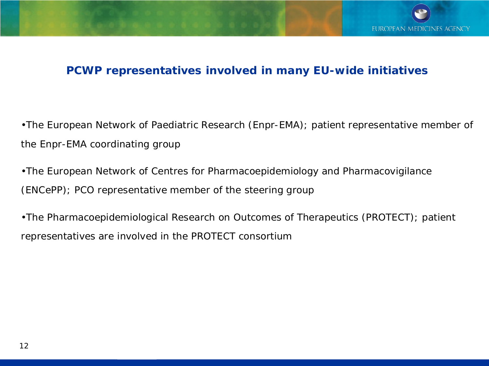## **PCWP representatives involved in many EU-wide initiatives**

•The European Network of Paediatric Research (Enpr-EMA); patient representative member of the Enpr-EMA coordinating group

•The European Network of Centres for Pharmacoepidemiology and Pharmacovigilance (ENCePP); PCO representative member of the steering group

•The Pharmacoepidemiological Research on Outcomes of Therapeutics (PROTECT); patient representatives are involved in the PROTECT consortium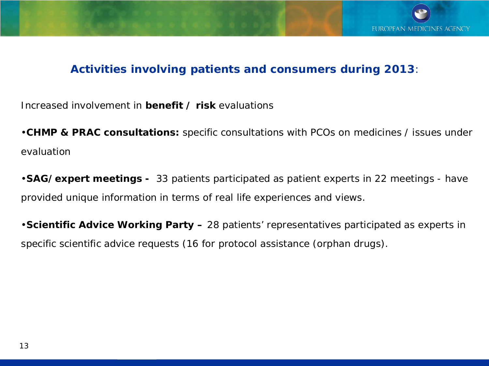

## **Activities involving patients and consumers during 2013**:

Increased involvement in **benefit / risk** evaluations

•**CHMP & PRAC consultations:** specific consultations with PCOs on medicines / issues under evaluation

•**SAG/expert meetings -** 33 patients participated as patient experts in 22 meetings - have provided unique information in terms of real life experiences and views.

•**Scientific Advice Working Party –** 28 patients' representatives participated as experts in specific scientific advice requests (16 for protocol assistance (orphan drugs).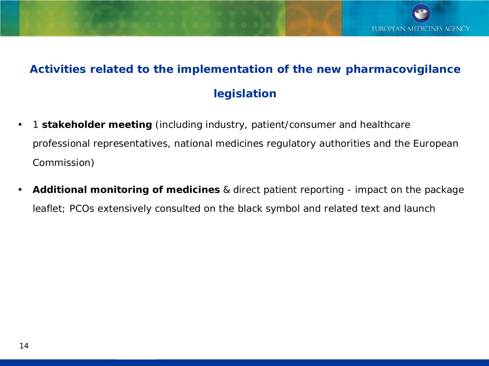# **Activities related to the implementation of the new pharmacovigilance legislation**

- 1 **stakeholder meeting** (including industry, patient/consumer and healthcare professional representatives, national medicines regulatory authorities and the European Commission)
- **Additional monitoring of medicines** & direct patient reporting impact on the package leaflet; PCOs extensively consulted on the black symbol and related text and launch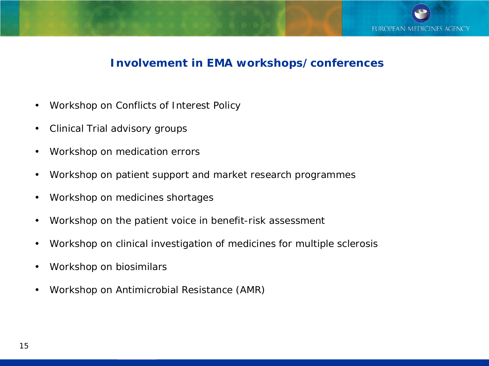

### **Involvement in EMA workshops/conferences**

- Workshop on Conflicts of Interest Policy
- Clinical Trial advisory groups
- Workshop on medication errors
- Workshop on patient support and market research programmes
- Workshop on medicines shortages
- Workshop on the patient voice in benefit-risk assessment
- Workshop on clinical investigation of medicines for multiple sclerosis
- Workshop on biosimilars
- Workshop on Antimicrobial Resistance (AMR)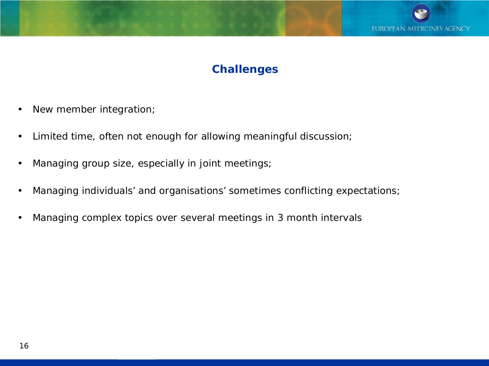

## **Challenges**

- New member integration;
- Limited time, often not enough for allowing meaningful discussion;
- Managing group size, especially in joint meetings;
- Managing individuals' and organisations' sometimes conflicting expectations;
- Managing complex topics over several meetings in 3 month intervals